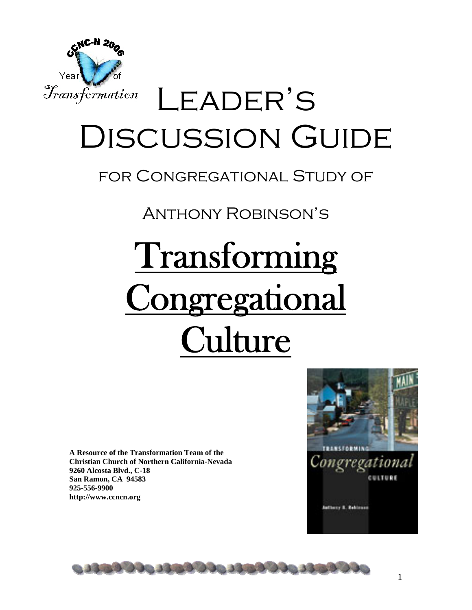

## LEADER'S Discussion Guide

### for Congregational Study of

Anthony Robinson's

# Transforming Congregational **Culture**

**A Resource of the Transformation Team of the Christian Church of Northern California-Nevada 9260 Alcosta Blvd., C-18 San Ramon, CA 94583 925-556-9900 http://www.ccncn.org** 



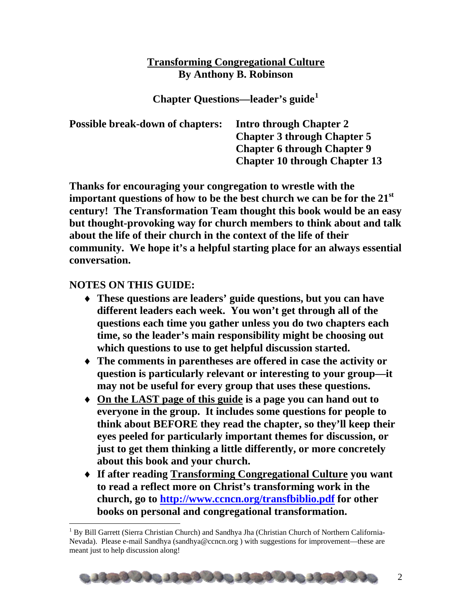#### **Transforming Congregational Culture By Anthony B. Robinson**

**Chapter Questions—leader's guide[1](#page-1-0)** 

| <b>Possible break-down of chapters:</b> | <b>Intro through Chapter 2</b><br><b>Chapter 3 through Chapter 5</b> |
|-----------------------------------------|----------------------------------------------------------------------|
|                                         | <b>Chapter 6 through Chapter 9</b>                                   |
|                                         | <b>Chapter 10 through Chapter 13</b>                                 |

**Thanks for encouraging your congregation to wrestle with the important questions of how to be the best church we can be for the 21st century! The Transformation Team thought this book would be an easy but thought-provoking way for church members to think about and talk about the life of their church in the context of the life of their community. We hope it's a helpful starting place for an always essential conversation.** 

#### **NOTES ON THIS GUIDE:**

 $\overline{a}$ 

- ♦ **These questions are leaders' guide questions, but you can have different leaders each week. You won't get through all of the questions each time you gather unless you do two chapters each time, so the leader's main responsibility might be choosing out which questions to use to get helpful discussion started.**
- ♦ **The comments in parentheses are offered in case the activity or question is particularly relevant or interesting to your group—it may not be useful for every group that uses these questions.**
- ♦ **On the LAST page of this guide is a page you can hand out to everyone in the group. It includes some questions for people to think about BEFORE they read the chapter, so they'll keep their eyes peeled for particularly important themes for discussion, or just to get them thinking a little differently, or more concretely about this book and your church.**
- ♦ **If after reading Transforming Congregational Culture you want to read a reflect more on Christ's transforming work in the church, go to <http://www.ccncn.org/transfbiblio.pdf> for other books on personal and congregational transformation.**

<span id="page-1-0"></span><sup>&</sup>lt;sup>1</sup> By Bill Garrett (Sierra Christian Church) and Sandhya Jha (Christian Church of Northern California-Nevada). Please e-mail Sandhya (sandhya@ccncn.org ) with suggestions for improvement—these are meant just to help discussion along!

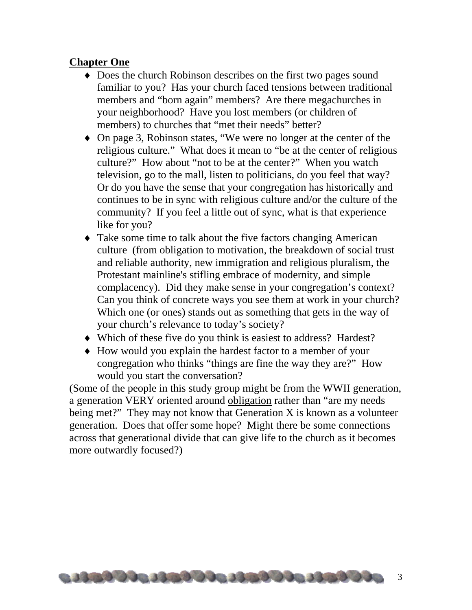#### **Chapter One**

- ♦ Does the church Robinson describes on the first two pages sound familiar to you? Has your church faced tensions between traditional members and "born again" members? Are there megachurches in your neighborhood? Have you lost members (or children of members) to churches that "met their needs" better?
- ♦ On page 3, Robinson states, "We were no longer at the center of the religious culture." What does it mean to "be at the center of religious culture?" How about "not to be at the center?" When you watch television, go to the mall, listen to politicians, do you feel that way? Or do you have the sense that your congregation has historically and continues to be in sync with religious culture and/or the culture of the community? If you feel a little out of sync, what is that experience like for you?
- ♦ Take some time to talk about the five factors changing American culture (from obligation to motivation, the breakdown of social trust and reliable authority, new immigration and religious pluralism, the Protestant mainline's stifling embrace of modernity, and simple complacency). Did they make sense in your congregation's context? Can you think of concrete ways you see them at work in your church? Which one (or ones) stands out as something that gets in the way of your church's relevance to today's society?
- ♦ Which of these five do you think is easiest to address? Hardest?
- ♦ How would you explain the hardest factor to a member of your congregation who thinks "things are fine the way they are?" How would you start the conversation?

(Some of the people in this study group might be from the WWII generation, a generation VERY oriented around obligation rather than "are my needs being met?" They may not know that Generation X is known as a volunteer generation. Does that offer some hope? Might there be some connections across that generational divide that can give life to the church as it becomes more outwardly focused?)

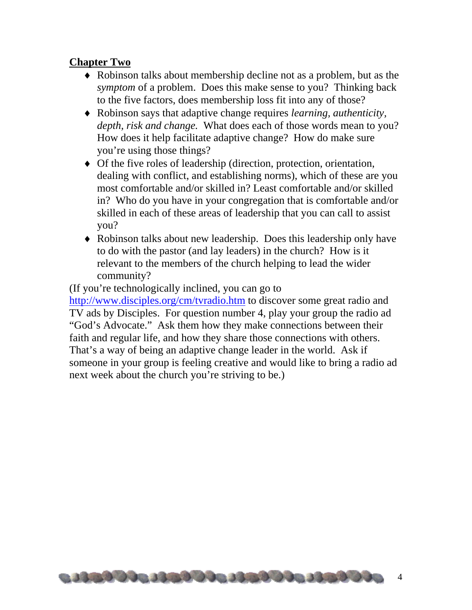#### **Chapter Two**

- ♦ Robinson talks about membership decline not as a problem, but as the *symptom* of a problem. Does this make sense to you? Thinking back to the five factors, does membership loss fit into any of those?
- ♦ Robinson says that adaptive change requires *learning, authenticity, depth, risk and change.* What does each of those words mean to you? How does it help facilitate adaptive change? How do make sure you're using those things?
- ♦ Of the five roles of leadership (direction, protection, orientation, dealing with conflict, and establishing norms), which of these are you most comfortable and/or skilled in? Least comfortable and/or skilled in? Who do you have in your congregation that is comfortable and/or skilled in each of these areas of leadership that you can call to assist you?
- ♦ Robinson talks about new leadership. Does this leadership only have to do with the pastor (and lay leaders) in the church? How is it relevant to the members of the church helping to lead the wider community?

(If you're technologically inclined, you can go to <http://www.disciples.org/cm/tvradio.htm> to discover some great radio and TV ads by Disciples. For question number 4, play your group the radio ad "God's Advocate." Ask them how they make connections between their faith and regular life, and how they share those connections with others. That's a way of being an adaptive change leader in the world. Ask if someone in your group is feeling creative and would like to bring a radio ad next week about the church you're striving to be.)

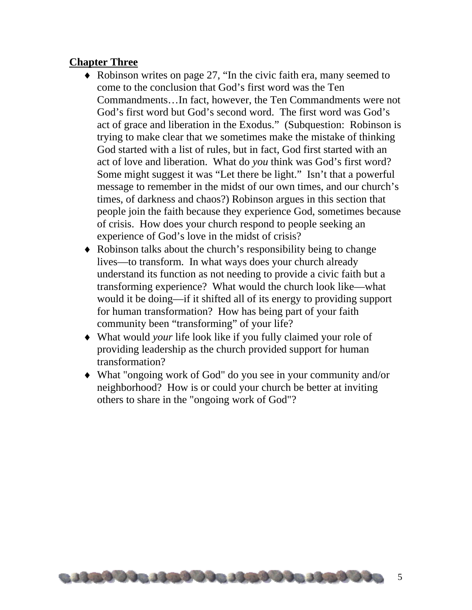#### **Chapter Three**

- ♦ Robinson writes on page 27, "In the civic faith era, many seemed to come to the conclusion that God's first word was the Ten Commandments…In fact, however, the Ten Commandments were not God's first word but God's second word. The first word was God's act of grace and liberation in the Exodus." (Subquestion: Robinson is trying to make clear that we sometimes make the mistake of thinking God started with a list of rules, but in fact, God first started with an act of love and liberation. What do *you* think was God's first word? Some might suggest it was "Let there be light." Isn't that a powerful message to remember in the midst of our own times, and our church's times, of darkness and chaos?) Robinson argues in this section that people join the faith because they experience God, sometimes because of crisis. How does your church respond to people seeking an experience of God's love in the midst of crisis?
- ♦ Robinson talks about the church's responsibility being to change lives—to transform. In what ways does your church already understand its function as not needing to provide a civic faith but a transforming experience? What would the church look like—what would it be doing—if it shifted all of its energy to providing support for human transformation? How has being part of your faith community been "transforming" of your life?
- ♦ What would *your* life look like if you fully claimed your role of providing leadership as the church provided support for human transformation?
- ♦ What "ongoing work of God" do you see in your community and/or neighborhood? How is or could your church be better at inviting others to share in the "ongoing work of God"?

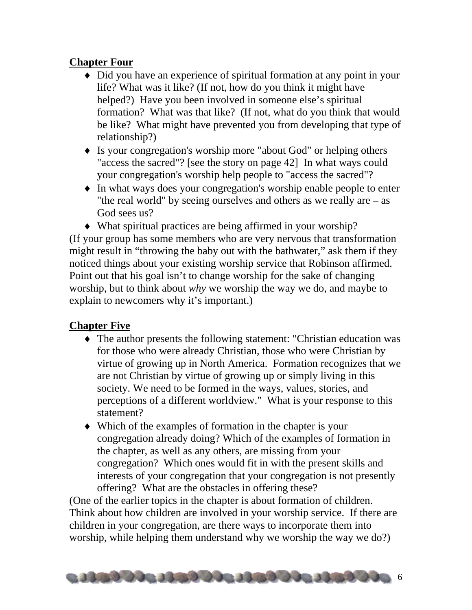#### **Chapter Four**

- ♦ Did you have an experience of spiritual formation at any point in your life? What was it like? (If not, how do you think it might have helped?) Have you been involved in someone else's spiritual formation? What was that like? (If not, what do you think that would be like? What might have prevented you from developing that type of relationship?)
- ♦ Is your congregation's worship more "about God" or helping others "access the sacred"? [see the story on page 42] In what ways could your congregation's worship help people to "access the sacred"?
- ♦ In what ways does your congregation's worship enable people to enter "the real world" by seeing ourselves and others as we really are – as God sees us?
- ♦ What spiritual practices are being affirmed in your worship?

(If your group has some members who are very nervous that transformation might result in "throwing the baby out with the bathwater," ask them if they noticed things about your existing worship service that Robinson affirmed. Point out that his goal isn't to change worship for the sake of changing worship, but to think about *why* we worship the way we do, and maybe to explain to newcomers why it's important.)

#### **Chapter Five**

- ♦ The author presents the following statement: "Christian education was for those who were already Christian, those who were Christian by virtue of growing up in North America. Formation recognizes that we are not Christian by virtue of growing up or simply living in this society. We need to be formed in the ways, values, stories, and perceptions of a different worldview." What is your response to this statement?
- ♦ Which of the examples of formation in the chapter is your congregation already doing? Which of the examples of formation in the chapter, as well as any others, are missing from your congregation? Which ones would fit in with the present skills and interests of your congregation that your congregation is not presently offering? What are the obstacles in offering these?

(One of the earlier topics in the chapter is about formation of children. Think about how children are involved in your worship service. If there are children in your congregation, are there ways to incorporate them into worship, while helping them understand why we worship the way we do?)

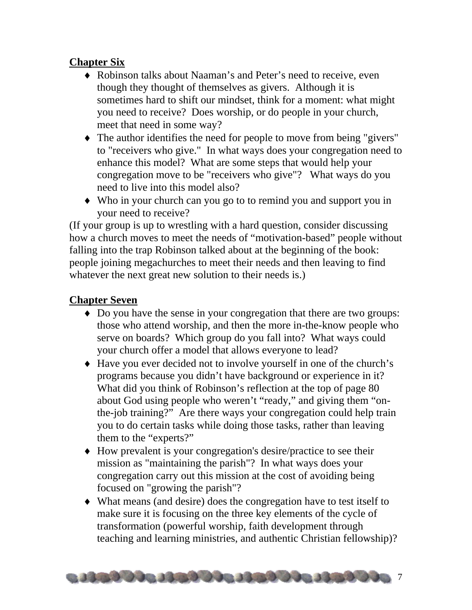#### **Chapter Six**

- ♦ Robinson talks about Naaman's and Peter's need to receive, even though they thought of themselves as givers. Although it is sometimes hard to shift our mindset, think for a moment: what might you need to receive? Does worship, or do people in your church, meet that need in some way?
- ♦ The author identifies the need for people to move from being "givers" to "receivers who give." In what ways does your congregation need to enhance this model? What are some steps that would help your congregation move to be "receivers who give"? What ways do you need to live into this model also?
- ♦ Who in your church can you go to to remind you and support you in your need to receive?

(If your group is up to wrestling with a hard question, consider discussing how a church moves to meet the needs of "motivation-based" people without falling into the trap Robinson talked about at the beginning of the book: people joining megachurches to meet their needs and then leaving to find whatever the next great new solution to their needs is.)

#### **Chapter Seven**

- ♦ Do you have the sense in your congregation that there are two groups: those who attend worship, and then the more in-the-know people who serve on boards? Which group do you fall into? What ways could your church offer a model that allows everyone to lead?
- ♦ Have you ever decided not to involve yourself in one of the church's programs because you didn't have background or experience in it? What did you think of Robinson's reflection at the top of page 80 about God using people who weren't "ready," and giving them "onthe-job training?" Are there ways your congregation could help train you to do certain tasks while doing those tasks, rather than leaving them to the "experts?"
- ♦ How prevalent is your congregation's desire/practice to see their mission as "maintaining the parish"? In what ways does your congregation carry out this mission at the cost of avoiding being focused on "growing the parish"?
- ♦ What means (and desire) does the congregation have to test itself to make sure it is focusing on the three key elements of the cycle of transformation (powerful worship, faith development through teaching and learning ministries, and authentic Christian fellowship)?

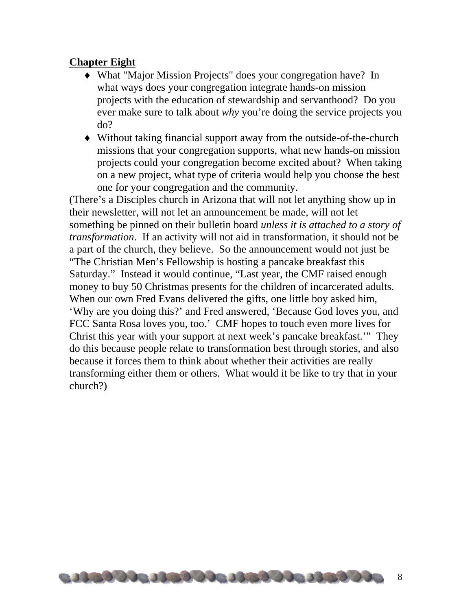#### **Chapter Eight**

- ♦ What "Major Mission Projects" does your congregation have? In what ways does your congregation integrate hands-on mission projects with the education of stewardship and servanthood? Do you ever make sure to talk about *why* you're doing the service projects you do?
- ♦ Without taking financial support away from the outside-of-the-church missions that your congregation supports, what new hands-on mission projects could your congregation become excited about? When taking on a new project, what type of criteria would help you choose the best one for your congregation and the community.

(There's a Disciples church in Arizona that will not let anything show up in their newsletter, will not let an announcement be made, will not let something be pinned on their bulletin board *unless it is attached to a story of transformation*. If an activity will not aid in transformation, it should not be a part of the church, they believe. So the announcement would not just be "The Christian Men's Fellowship is hosting a pancake breakfast this Saturday." Instead it would continue, "Last year, the CMF raised enough money to buy 50 Christmas presents for the children of incarcerated adults. When our own Fred Evans delivered the gifts, one little boy asked him, 'Why are you doing this?' and Fred answered, 'Because God loves you, and FCC Santa Rosa loves you, too.' CMF hopes to touch even more lives for Christ this year with your support at next week's pancake breakfast.'" They do this because people relate to transformation best through stories, and also because it forces them to think about whether their activities are really transforming either them or others. What would it be like to try that in your church?)

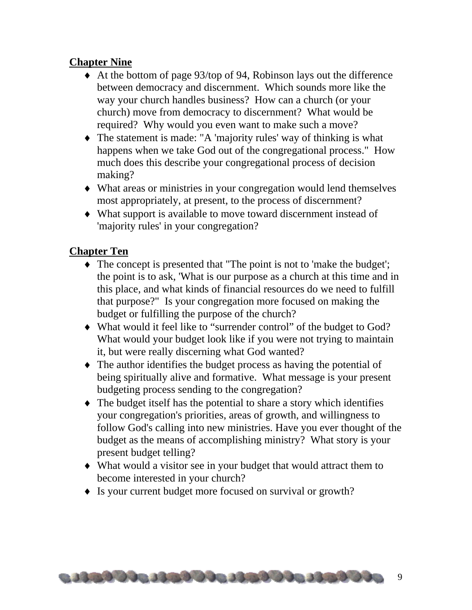#### **Chapter Nine**

- ♦ At the bottom of page 93/top of 94, Robinson lays out the difference between democracy and discernment. Which sounds more like the way your church handles business? How can a church (or your church) move from democracy to discernment? What would be required? Why would you even want to make such a move?
- ♦ The statement is made: "A 'majority rules' way of thinking is what happens when we take God out of the congregational process." How much does this describe your congregational process of decision making?
- ♦ What areas or ministries in your congregation would lend themselves most appropriately, at present, to the process of discernment?
- ♦ What support is available to move toward discernment instead of 'majority rules' in your congregation?

#### **Chapter Ten**

- ♦ The concept is presented that "The point is not to 'make the budget'; the point is to ask, 'What is our purpose as a church at this time and in this place, and what kinds of financial resources do we need to fulfill that purpose?" Is your congregation more focused on making the budget or fulfilling the purpose of the church?
- ♦ What would it feel like to "surrender control" of the budget to God? What would your budget look like if you were not trying to maintain it, but were really discerning what God wanted?
- ♦ The author identifies the budget process as having the potential of being spiritually alive and formative. What message is your present budgeting process sending to the congregation?
- ♦ The budget itself has the potential to share a story which identifies your congregation's priorities, areas of growth, and willingness to follow God's calling into new ministries. Have you ever thought of the budget as the means of accomplishing ministry? What story is your present budget telling?
- ♦ What would a visitor see in your budget that would attract them to become interested in your church?
- ♦ Is your current budget more focused on survival or growth?

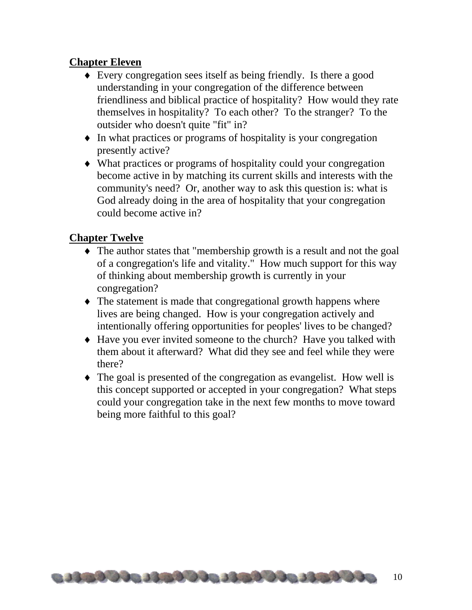#### **Chapter Eleven**

- ♦ Every congregation sees itself as being friendly. Is there a good understanding in your congregation of the difference between friendliness and biblical practice of hospitality? How would they rate themselves in hospitality? To each other? To the stranger? To the outsider who doesn't quite "fit" in?
- ♦ In what practices or programs of hospitality is your congregation presently active?
- ♦ What practices or programs of hospitality could your congregation become active in by matching its current skills and interests with the community's need? Or, another way to ask this question is: what is God already doing in the area of hospitality that your congregation could become active in?

#### **Chapter Twelve**

- ♦ The author states that "membership growth is a result and not the goal of a congregation's life and vitality." How much support for this way of thinking about membership growth is currently in your congregation?
- ♦ The statement is made that congregational growth happens where lives are being changed. How is your congregation actively and intentionally offering opportunities for peoples' lives to be changed?
- ♦ Have you ever invited someone to the church? Have you talked with them about it afterward? What did they see and feel while they were there?
- ♦ The goal is presented of the congregation as evangelist. How well is this concept supported or accepted in your congregation? What steps could your congregation take in the next few months to move toward being more faithful to this goal?

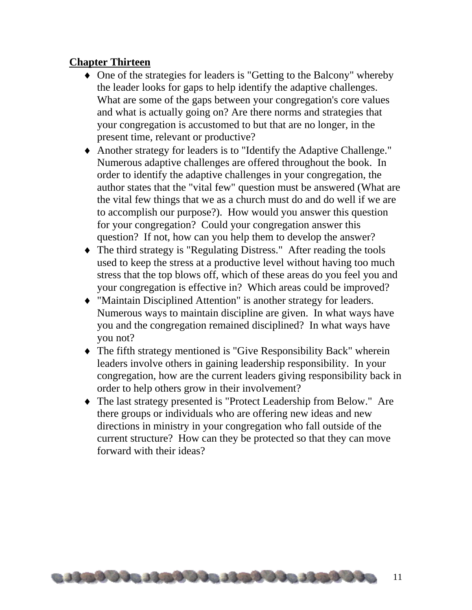#### **Chapter Thirteen**

- ♦ One of the strategies for leaders is "Getting to the Balcony" whereby the leader looks for gaps to help identify the adaptive challenges. What are some of the gaps between your congregation's core values and what is actually going on? Are there norms and strategies that your congregation is accustomed to but that are no longer, in the present time, relevant or productive?
- ♦ Another strategy for leaders is to "Identify the Adaptive Challenge." Numerous adaptive challenges are offered throughout the book. In order to identify the adaptive challenges in your congregation, the author states that the "vital few" question must be answered (What are the vital few things that we as a church must do and do well if we are to accomplish our purpose?). How would you answer this question for your congregation? Could your congregation answer this question? If not, how can you help them to develop the answer?
- ♦ The third strategy is "Regulating Distress." After reading the tools used to keep the stress at a productive level without having too much stress that the top blows off, which of these areas do you feel you and your congregation is effective in? Which areas could be improved?
- ♦ "Maintain Disciplined Attention" is another strategy for leaders. Numerous ways to maintain discipline are given. In what ways have you and the congregation remained disciplined? In what ways have you not?
- ♦ The fifth strategy mentioned is "Give Responsibility Back" wherein leaders involve others in gaining leadership responsibility. In your congregation, how are the current leaders giving responsibility back in order to help others grow in their involvement?
- ♦ The last strategy presented is "Protect Leadership from Below." Are there groups or individuals who are offering new ideas and new directions in ministry in your congregation who fall outside of the current structure? How can they be protected so that they can move forward with their ideas?